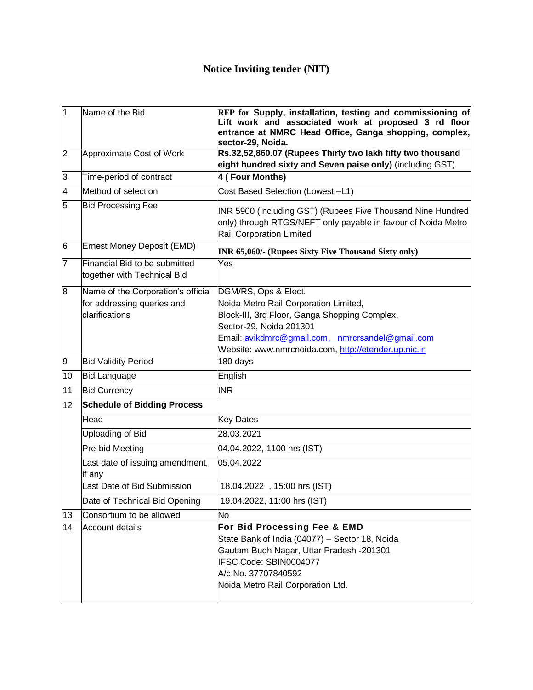| $\overline{1}$ | Name of the Bid                                                                    | RFP for Supply, installation, testing and commissioning of<br>Lift work and associated work at proposed 3 rd floor<br>entrance at NMRC Head Office, Ganga shopping, complex,<br>sector-29, Noida.                                                     |
|----------------|------------------------------------------------------------------------------------|-------------------------------------------------------------------------------------------------------------------------------------------------------------------------------------------------------------------------------------------------------|
| $\overline{2}$ | Approximate Cost of Work                                                           | Rs.32,52,860.07 (Rupees Thirty two lakh fifty two thousand<br>eight hundred sixty and Seven paise only) (including GST)                                                                                                                               |
| 3              | Time-period of contract                                                            | 4 (Four Months)                                                                                                                                                                                                                                       |
| 4              | Method of selection                                                                | Cost Based Selection (Lowest -L1)                                                                                                                                                                                                                     |
| 5              | <b>Bid Processing Fee</b>                                                          | INR 5900 (including GST) (Rupees Five Thousand Nine Hundred<br>only) through RTGS/NEFT only payable in favour of Noida Metro<br>Rail Corporation Limited                                                                                              |
| 6              | Ernest Money Deposit (EMD)                                                         | INR 65,060/- (Rupees Sixty Five Thousand Sixty only)                                                                                                                                                                                                  |
| 7              | Financial Bid to be submitted<br>together with Technical Bid                       | Yes                                                                                                                                                                                                                                                   |
| 8              | Name of the Corporation's official<br>for addressing queries and<br>clarifications | DGM/RS, Ops & Elect.<br>Noida Metro Rail Corporation Limited,<br>Block-III, 3rd Floor, Ganga Shopping Complex,<br>Sector-29, Noida 201301<br>Email: avikdmrc@gmail.com, nmrcrsandel@gmail.com<br>Website: www.nmrcnoida.com, http://etender.up.nic.in |
| 9              | <b>Bid Validity Period</b>                                                         | 180 days                                                                                                                                                                                                                                              |
| 10             | <b>Bid Language</b>                                                                | English                                                                                                                                                                                                                                               |
| 11             | <b>Bid Currency</b>                                                                | <b>INR</b>                                                                                                                                                                                                                                            |
| 12             | <b>Schedule of Bidding Process</b>                                                 |                                                                                                                                                                                                                                                       |
|                | Head                                                                               | <b>Key Dates</b>                                                                                                                                                                                                                                      |
|                | Uploading of Bid                                                                   | 28.03.2021                                                                                                                                                                                                                                            |
|                | Pre-bid Meeting                                                                    | 04.04.2022, 1100 hrs (IST)                                                                                                                                                                                                                            |
|                | Last date of issuing amendment,<br>if any                                          | 05.04.2022                                                                                                                                                                                                                                            |
|                | Last Date of Bid Submission                                                        | 18.04.2022, 15:00 hrs (IST)                                                                                                                                                                                                                           |
|                | Date of Technical Bid Opening                                                      | 19.04.2022, 11:00 hrs (IST)                                                                                                                                                                                                                           |
| 13             | Consortium to be allowed                                                           | <b>No</b>                                                                                                                                                                                                                                             |
| 14             | Account details                                                                    | For Bid Processing Fee & EMD<br>State Bank of India (04077) - Sector 18, Noida<br>Gautam Budh Nagar, Uttar Pradesh -201301<br>IFSC Code: SBIN0004077<br>A/c No. 37707840592<br>Noida Metro Rail Corporation Ltd.                                      |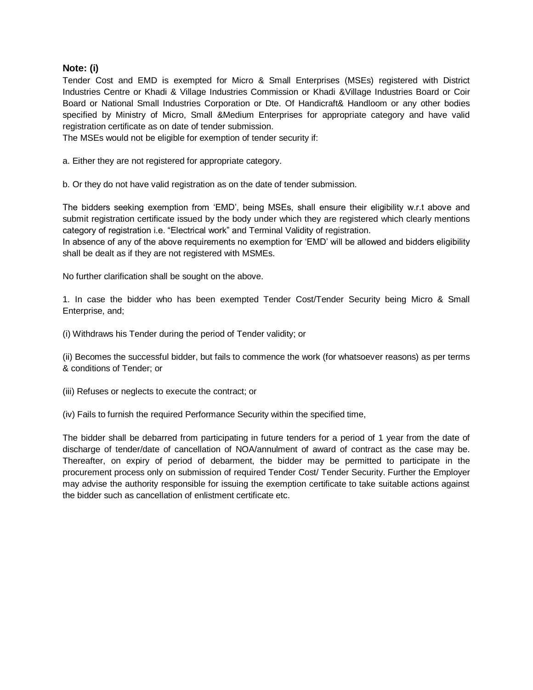## **Note: (i)**

Tender Cost and EMD is exempted for Micro & Small Enterprises (MSEs) registered with District Industries Centre or Khadi & Village Industries Commission or Khadi &Village Industries Board or Coir Board or National Small Industries Corporation or Dte. Of Handicraft& Handloom or any other bodies specified by Ministry of Micro, Small &Medium Enterprises for appropriate category and have valid registration certificate as on date of tender submission.

The MSEs would not be eligible for exemption of tender security if:

a. Either they are not registered for appropriate category.

b. Or they do not have valid registration as on the date of tender submission.

The bidders seeking exemption from 'EMD', being MSEs, shall ensure their eligibility w.r.t above and submit registration certificate issued by the body under which they are registered which clearly mentions category of registration i.e. "Electrical work" and Terminal Validity of registration.

In absence of any of the above requirements no exemption for 'EMD' will be allowed and bidders eligibility shall be dealt as if they are not registered with MSMEs.

No further clarification shall be sought on the above.

1. In case the bidder who has been exempted Tender Cost/Tender Security being Micro & Small Enterprise, and;

(i) Withdraws his Tender during the period of Tender validity; or

(ii) Becomes the successful bidder, but fails to commence the work (for whatsoever reasons) as per terms & conditions of Tender; or

(iii) Refuses or neglects to execute the contract; or

(iv) Fails to furnish the required Performance Security within the specified time,

The bidder shall be debarred from participating in future tenders for a period of 1 year from the date of discharge of tender/date of cancellation of NOA/annulment of award of contract as the case may be. Thereafter, on expiry of period of debarment, the bidder may be permitted to participate in the procurement process only on submission of required Tender Cost/ Tender Security. Further the Employer may advise the authority responsible for issuing the exemption certificate to take suitable actions against the bidder such as cancellation of enlistment certificate etc.